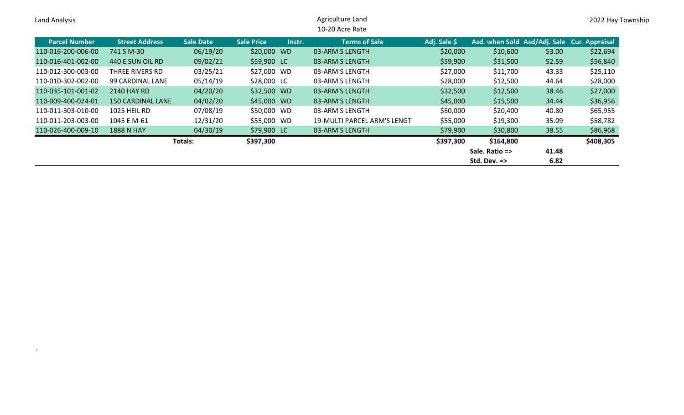| Land Analysis        |                          |                  |                             | Agriculture Land<br>10-20 Acre Rate |              |                                             |       | 2022 Hay Township |
|----------------------|--------------------------|------------------|-----------------------------|-------------------------------------|--------------|---------------------------------------------|-------|-------------------|
| <b>Parcel Number</b> | <b>Street Address</b>    | <b>Sale Date</b> | <b>Sale Price</b><br>Instr. | <b>Terms of Sale</b>                | Adj. Sale \$ | Asd. when Sold Asd/Adj. Sale Cur. Appraisal |       |                   |
| 110-016-200-006-00   | 741 S M-30               | 06/19/20         | \$20,000 WD                 | 03-ARM'S LENGTH                     | \$20,000     | \$10,600                                    | 53.00 | \$22,694          |
| 110-016-401-002-00   | 440 E SUN OIL RD         | 09/02/21         | \$59,900 LC                 | 03-ARM'S LENGTH                     | \$59,900     | \$31,500                                    | 52.59 | \$56,840          |
| 110-012-300-003-00   | THREE RIVERS RD          | 03/25/21         | \$27,000 WD                 | 03-ARM'S LENGTH                     | \$27,000     | \$11,700                                    | 43.33 | \$25,110          |
| 110-010-302-002-00   | 99 CARDINAL LANE         | 05/14/19         | \$28,000 LC                 | 03-ARM'S LENGTH                     | \$28,000     | \$12,500                                    | 44.64 | \$28,000          |
| 110-035-101-001-02   | 2140 HAY RD              | 04/20/20         | \$32,500 WD                 | 03-ARM'S LENGTH                     | \$32,500     | \$12,500                                    | 38.46 | \$27,000          |
| 110-009-400-024-01   | <b>150 CARDINAL LANE</b> | 04/02/20         | \$45,000 WD                 | 03-ARM'S LENGTH                     | \$45,000     | \$15,500                                    | 34.44 | \$36,956          |
| 110-011-303-010-00   | 1025 HEIL RD             | 07/08/19         | \$50,000 WD                 | 03-ARM'S LENGTH                     | \$50,000     | \$20,400                                    | 40.80 | \$65,955          |
| 110-011-203-003-00   | 1045 E M-61              | 12/31/20         | \$55,000 WD                 | 19-MULTI PARCEL ARM'S LENGTI        | \$55,000     | \$19,300                                    | 35.09 | \$58,782          |
| 110-026-400-009-10   | <b>1888 N HAY</b>        | 04/30/19         | \$79,900 LC                 | 03-ARM'S LENGTH                     | \$79,900     | \$30,800                                    | 38.55 | \$86,968          |
|                      |                          | Totals:          | \$397,300                   |                                     | \$397,300    | \$164,800                                   |       | \$408,305         |
|                      | Sale. Ratio =><br>41.48  |                  |                             |                                     |              |                                             |       |                   |
|                      |                          |                  |                             |                                     |              |                                             |       |                   |

.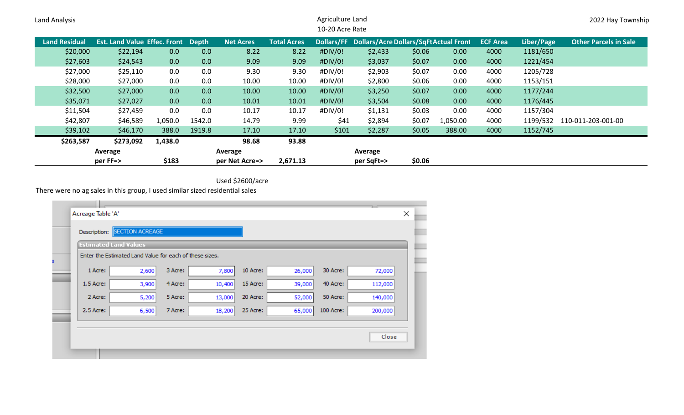| Land Analysis        | Agriculture Land<br>10-20 Acre Rate       |         |        |                  |                    |         |                                                   |        |          | 2022 Hay Township |            |                              |
|----------------------|-------------------------------------------|---------|--------|------------------|--------------------|---------|---------------------------------------------------|--------|----------|-------------------|------------|------------------------------|
| <b>Land Residual</b> | <b>Est. Land Value Effec. Front Depth</b> |         |        | <b>Net Acres</b> | <b>Total Acres</b> |         | Dollars/FF Dollars/Acre Dollars/SqFt Actual Front |        |          | <b>ECF Area</b>   | Liber/Page | <b>Other Parcels in Sale</b> |
| \$20,000             | \$22,194                                  | 0.0     | 0.0    | 8.22             | 8.22               | #DIV/0! | \$2,433                                           | \$0.06 | 0.00     | 4000              | 1181/650   |                              |
| \$27,603             | \$24,543                                  | 0.0     | 0.0    | 9.09             | 9.09               | #DIV/0! | \$3,037                                           | \$0.07 | 0.00     | 4000              | 1221/454   |                              |
| \$27,000             | \$25,110                                  | 0.0     | 0.0    | 9.30             | 9.30               | #DIV/0! | \$2,903                                           | \$0.07 | 0.00     | 4000              | 1205/728   |                              |
| \$28,000             | \$27,000                                  | 0.0     | 0.0    | 10.00            | 10.00              | #DIV/0! | \$2,800                                           | \$0.06 | 0.00     | 4000              | 1153/151   |                              |
| \$32,500             | \$27,000                                  | 0.0     | 0.0    | 10.00            | 10.00              | #DIV/0! | \$3,250                                           | \$0.07 | 0.00     | 4000              | 1177/244   |                              |
| \$35,071             | \$27,027                                  | 0.0     | 0.0    | 10.01            | 10.01              | #DIV/0! | \$3,504                                           | \$0.08 | 0.00     | 4000              | 1176/445   |                              |
| \$11,504             | \$27,459                                  | 0.0     | 0.0    | 10.17            | 10.17              | #DIV/0! | \$1,131                                           | \$0.03 | 0.00     | 4000              | 1157/304   |                              |
| \$42,807             | \$46,589                                  | 1,050.0 | 1542.0 | 14.79            | 9.99               | \$41    | \$2,894                                           | \$0.07 | 1,050.00 | 4000              |            | 1199/532 110-011-203-001-00  |
| \$39,102             | \$46,170                                  | 388.0   | 1919.8 | 17.10            | 17.10              | \$101   | \$2,287                                           | \$0.05 | 388.00   | 4000              | 1152/745   |                              |
| \$263,587            | \$273,092                                 | 1,438.0 |        | 98.68            | 93.88              |         |                                                   |        |          |                   |            |                              |
|                      | Average                                   |         |        | Average          |                    |         | Average                                           |        |          |                   |            |                              |
|                      | per FF=>                                  | \$183   |        | per Net Acre=>   | 2,671.13           |         | per SqFt=>                                        | \$0.06 |          |                   |            |                              |

Used \$2600/acre

There were no ag sales in this group, I used similar sized residential sales

|             | <b>Estimated Land Values</b>                            |         |        |          |        |           |         |
|-------------|---------------------------------------------------------|---------|--------|----------|--------|-----------|---------|
|             | Enter the Estimated Land Value for each of these sizes. |         |        |          |        |           |         |
| 1 Acre:     | 2,600                                                   | 3 Acre: | 7,800  | 10 Acre: | 26,000 | 30 Acre:  | 72,000  |
| $1.5$ Acre: | 3,900                                                   | 4 Acre: | 10,400 | 15 Acre: | 39,000 | 40 Acre:  | 112,000 |
| 2 Acre:     | 5,200                                                   | 5 Acre: | 13,000 | 20 Acre: | 52,000 | 50 Acre:  | 140,000 |
| 2.5 Acre:   | 6,500                                                   | 7 Acre: | 18,200 | 25 Acre: | 65,000 | 100 Acre: | 200,000 |